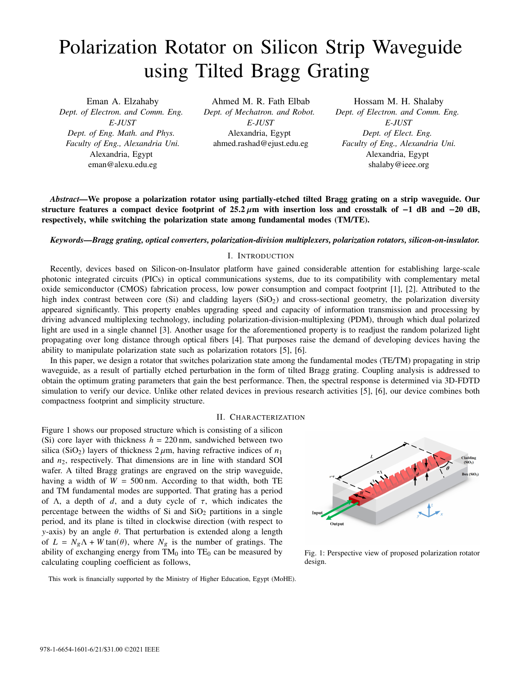# Polarization Rotator on Silicon Strip Waveguide using Tilted Bragg Grating

Eman A. Elzahaby *Dept. of Electron. and Comm. Eng. E-JUST Dept. of Eng. Math. and Phys. Faculty of Eng., Alexandria Uni.* Alexandria, Egypt eman@alexu.edu.eg

Ahmed M. R. Fath Elbab *Dept. of Mechatron. and Robot. E-JUST* Alexandria, Egypt ahmed.rashad@ejust.edu.eg

Hossam M. H. Shalaby *Dept. of Electron. and Comm. Eng. E-JUST Dept. of Elect. Eng. Faculty of Eng., Alexandria Uni.* Alexandria, Egypt shalaby@ieee.org

*Abstract—*We propose a polarization rotator using partially-etched tilted Bragg grating on a strip waveguide. Our structure features a compact device footprint of **25**.**2** m with insertion loss and crosstalk of −**1** dB and −**20** dB, respectively, while switching the polarization state among fundamental modes (TM/TE).

## *Keywords—Bragg grating, optical converters, polarization-division multiplexers, polarization rotators, silicon-on-insulator.*

#### I. INTRODUCTION

Recently, devices based on Silicon-on-Insulator platform have gained considerable attention for establishing large-scale photonic integrated circuits (PICs) in optical communications systems, due to its compatibility with complementary metal oxide semiconductor (CMOS) fabrication process, low power consumption and compact footprint [1], [2]. Attributed to the high index contrast between core (Si) and cladding layers  $(SiO<sub>2</sub>)$  and cross-sectional geometry, the polarization diversity appeared significantly. This property enables upgrading speed and capacity of information transmission and processing by driving advanced multiplexing technology, including polarization-division-multiplexing (PDM), through which dual polarized light are used in a single channel [3]. Another usage for the aforementioned property is to readjust the random polarized light propagating over long distance through optical fibers [4]. That purposes raise the demand of developing devices having the ability to manipulate polarization state such as polarization rotators [5], [6].

In this paper, we design a rotator that switches polarization state among the fundamental modes (TE/TM) propagating in strip waveguide, as a result of partially etched perturbation in the form of tilted Bragg grating. Coupling analysis is addressed to obtain the optimum grating parameters that gain the best performance. Then, the spectral response is determined via 3D-FDTD simulation to verify our device. Unlike other related devices in previous research activities [5], [6], our device combines both compactness footprint and simplicity structure.

#### II. CHARACTERIZATION

Figure 1 shows our proposed structure which is consisting of a silicon (Si) core layer with thickness  $h = 220$  nm, sandwiched between two silica (SiO<sub>2</sub>) layers of thickness  $2 \mu m$ , having refractive indices of  $n_1$ and  $n_2$ , respectively. That dimensions are in line with standard SOI wafer. A tilted Bragg gratings are engraved on the strip waveguide, having a width of  $W = 500$  nm. According to that width, both TE and TM fundamental modes are supported. That grating has a period of  $\Lambda$ , a depth of d, and a duty cycle of  $\tau$ , which indicates the percentage between the widths of Si and  $SiO<sub>2</sub>$  partitions in a single period, and its plane is tilted in clockwise direction (with respect to  $y$ -axis) by an angle  $\theta$ . That perturbation is extended along a length of  $L = N_g \Lambda + W \tan(\theta)$ , where  $N_g$  is the number of gratings. The ability of exchanging energy from  $TM_0$  into  $TE_0$  can be measured by calculating coupling coefficient as follows,



Fig. 1: Perspective view of proposed polarization rotator design.

This work is financially supported by the Ministry of Higher Education, Egypt (MoHE).